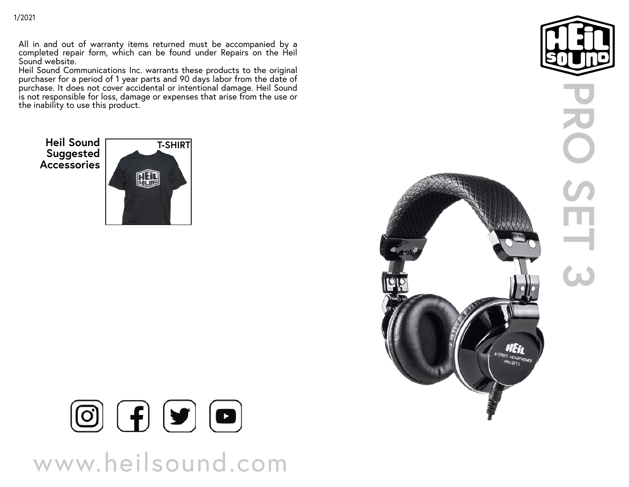All in and out of warranty items returned must be accompanied by a completed repair form, which can be found under Repairs on the Heil Sound website.

Heil Sound Communications Inc. warrants these products to the original purchaser for a period of 1 year parts and 90 days labor from the date of purchase. It does not cover accidental or intentional damage. Heil Sound is not responsible for loss, damage or expenses that arise from the use or the inability to use this product.

**Suggested Accessories**